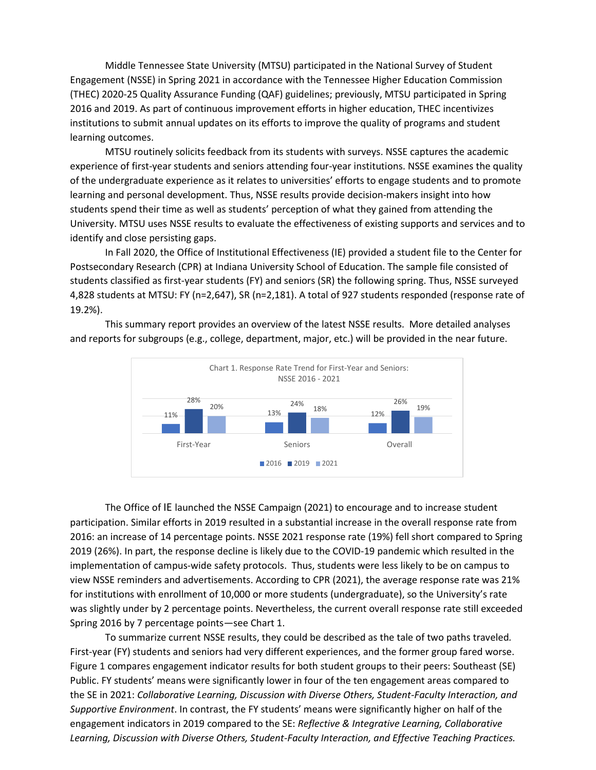Middle Tennessee State University (MTSU) participated in the National Survey of Student Engagement (NSSE) in Spring 2021 in accordance with the Tennessee Higher Education Commission (THEC) 2020-25 Quality Assurance Funding (QAF) guidelines; previously, MTSU participated in Spring 2016 and 2019. As part of continuous improvement efforts in higher education, THEC incentivizes institutions to submit annual updates on its efforts to improve the quality of programs and student learning outcomes.

MTSU routinely solicits feedback from its students with surveys. NSSE captures the academic experience of first-year students and seniors attending four-year institutions. NSSE examines the quality of the undergraduate experience as it relates to universities' efforts to engage students and to promote learning and personal development. Thus, NSSE results provide decision-makers insight into how students spend their time as well as students' perception of what they gained from attending the University. MTSU uses NSSE results to evaluate the effectiveness of existing supports and services and to identify and close persisting gaps.

In Fall 2020, the Office of Institutional Effectiveness (IE) provided a student file to the Center for Postsecondary Research (CPR) at Indiana University School of Education. The sample file consisted of students classified as first-year students (FY) and seniors (SR) the following spring. Thus, NSSE surveyed 4,828 students at MTSU: FY (n=2,647), SR (n=2,181). A total of 927 students responded (response rate of 19.2%).



This summary report provides an overview of the latest NSSE results. More detailed analyses and reports for subgroups (e.g., college, department, major, etc.) will be provided in the near future.

The Office of IE launched the NSSE Campaign (2021) to encourage and to increase student participation. Similar efforts in 2019 resulted in a substantial increase in the overall response rate from 2016: an increase of 14 percentage points. NSSE 2021 response rate (19%) fell short compared to Spring 2019 (26%). In part, the response decline is likely due to the COVID-19 pandemic which resulted in the implementation of campus-wide safety protocols. Thus, students were less likely to be on campus to view NSSE reminders and advertisements. According to CPR (2021), the average response rate was 21% for institutions with enrollment of 10,000 or more students (undergraduate), so the University's rate was slightly under by 2 percentage points. Nevertheless, the current overall response rate still exceeded Spring 2016 by 7 percentage points—see Chart 1.

To summarize current NSSE results, they could be described as the tale of two paths traveled*.* First-year (FY) students and seniors had very different experiences, and the former group fared worse. Figure 1 compares engagement indicator results for both student groups to their peers: Southeast (SE) Public. FY students' means were significantly lower in four of the ten engagement areas compared to the SE in 2021: *Collaborative Learning, Discussion with Diverse Others, Student-Faculty Interaction, and Supportive Environment*. In contrast, the FY students' means were significantly higher on half of the engagement indicators in 2019 compared to the SE: *Reflective & Integrative Learning, Collaborative Learning, Discussion with Diverse Others, Student-Faculty Interaction, and Effective Teaching Practices.*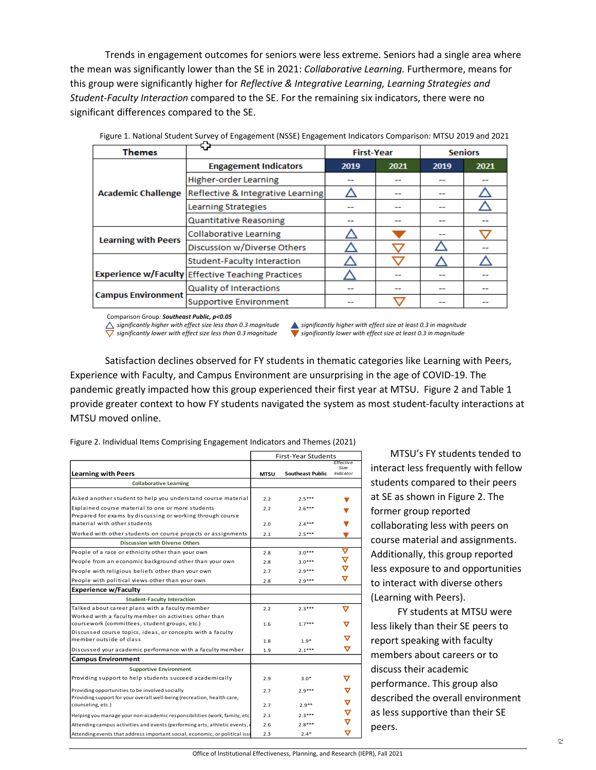Trends in engagement outcomes for seniors were less extreme. Seniors had a single area where the mean was significantly lower than the SE in 2021: *Collaborative Learning.* Furthermore, means for this group were significantly higher for *Reflective & Integrative Learning, Learning Strategies and Student-Faculty Interaction* compared to the SE. For the remaining six indicators, there were no significant differences compared to the SE.

| <b>Themes</b>              | ₩                                                        | <b>First-Year</b> |      | <b>Seniors</b> |      |
|----------------------------|----------------------------------------------------------|-------------------|------|----------------|------|
| <b>Academic Challenge</b>  | <b>Engagement Indicators</b>                             | 2019              | 2021 | 2019           | 2021 |
|                            | <b>Higher-order Learning</b>                             |                   | --   |                |      |
|                            | Reflective & Integrative Learning                        |                   | --   | --             |      |
|                            | <b>Learning Strategies</b>                               |                   |      |                |      |
|                            | <b>Quantitative Reasoning</b>                            | --                | --   | --             |      |
| <b>Learning with Peers</b> | <b>Collaborative Learning</b>                            |                   |      | --             |      |
|                            | Discussion w/Diverse Others                              |                   |      |                |      |
|                            | <b>Student-Faculty Interaction</b>                       |                   |      |                |      |
|                            | <b>Experience w/Faculty Effective Teaching Practices</b> |                   |      |                |      |
| <b>Campus Environment</b>  | <b>Quality of Interactions</b>                           |                   | --   | --             |      |
|                            | <b>Supportive Environment</b>                            | .                 |      |                |      |

Figure 1. National Student Survey of Engagement (NSSE) Engagement Indicators Comparison: MTSU 2019 and 2021

Comparison Group*: Southeast Public, p<0.05*

 *significantly higher with effect size less than 0.3 magnitude significantly higher with effect size at least 0.3 in magnitude*

 *significantly lower with effect size less than 0.3 magnitude significantly lower with effect size at least 0.3 in magnitude* 

Satisfaction declines observed for FY students in thematic categories like Learning with Peers, Experience with Faculty, and Campus Environment are unsurprising in the age of COVID-19. The pandemic greatly impacted how this group experienced their first year at MTSU. Figure 2 and Table 1 provide greater context to how FY students navigated the system as most student-faculty interactions at MTSU moved online.

|                                                                                              | <b>First-Year Students</b> |                         |                   |  |
|----------------------------------------------------------------------------------------------|----------------------------|-------------------------|-------------------|--|
|                                                                                              |                            |                         | Effective<br>Size |  |
| <b>Learning with Peers</b>                                                                   | <b>MTSU</b>                | <b>Southeast Public</b> | <b>Indicator</b>  |  |
| <b>Collaborative Learning</b>                                                                |                            |                         |                   |  |
|                                                                                              |                            |                         |                   |  |
| Asked another student to help you understand course material                                 | 2.2                        | $2.5***$                |                   |  |
| Explained course material to one or more students                                            | 2.2                        | $2.6***$                |                   |  |
| Prepared for exams by discussing or working through course                                   |                            |                         |                   |  |
| material with other students                                                                 | 2.0                        | $2.4***$                |                   |  |
| Worked with other students on course projects or assignments                                 | 2.1                        | $2.5***$                |                   |  |
| <b>Discussion with Diverse Others</b>                                                        |                            |                         |                   |  |
| People of a race or ethnicity other than your own                                            | 2.8                        | $3.0***$                | ᢦ                 |  |
| People from an economic background other than your own                                       | 2.8                        | $3.0***$                | ▽                 |  |
| People with religious beliefs other than your own                                            | 2.7                        | $2.9***$                | $\bm{\nabla}$     |  |
| People with political views other than your own                                              | 2.8                        | $2.9***$                | ᢦ                 |  |
| <b>Experience w/Faculty</b>                                                                  |                            |                         |                   |  |
| <b>Student-Faculty Interaction</b>                                                           |                            |                         |                   |  |
| Talked about career plans with a faculty member                                              | 2.2                        | $2.3***$                | v                 |  |
| Worked with a faculty member on activities other than                                        |                            |                         |                   |  |
| coursework (committees, student groups, etc.)                                                | 1.6                        | $1.7***$                | ᢦ                 |  |
| Discussed course topics, ideas, or concepts with a faculty                                   |                            |                         |                   |  |
| member outside of class                                                                      | 1.8                        | $1.9*$                  | ᢦ                 |  |
| Discussed your academic performance with a faculty member                                    | 1.9                        | $2.1***$                | ᢦ                 |  |
| <b>Campus Environment</b>                                                                    |                            |                         |                   |  |
| <b>Supportive Environment</b>                                                                |                            |                         |                   |  |
| Providing support to help students succeed academically                                      | 2.9                        | $3.0*$                  | ᢦ                 |  |
| Providing opportunities to be involved socially                                              | 2.7                        | $7.9***$                | ᢦ                 |  |
| Providing support for your overall well-being (recreation, health care,<br>counseling, etc.) | 2.7                        | $2.9**$                 |                   |  |
| Helping you manage your non-academic responsibilities (work, family, etc.                    | 2.1                        | $2.3***$                |                   |  |
| Attending campus activities and events (performing arts, athletic events,                    | 2.6                        | $2.8***$                | ᢦ                 |  |
| Attending events that address important social, economic, or political issu                  | 2.3                        | $2.4*$                  | ᢦ                 |  |

Figure 2. Individual Items Comprising Engagement Indicators and Themes (2021)

 MTSU's FY students tended to interact less frequently with fellow students compared to their peers at SE as shown in Figure 2. The former group reported collaborating less with peers on course material and assignments. Additionally, this group reported less exposure to and opportunities to interact with diverse others (Learning with Peers).

 FY students at MTSU were less likely than their SE peers to report speaking with faculty members about careers or to discuss their academic performance. This group also described the overall environment as less supportive than their SE peers.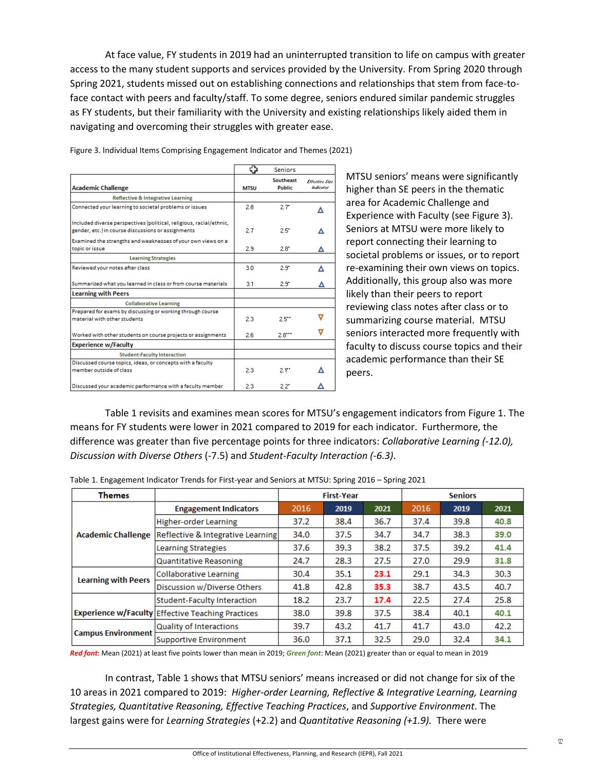At face value, FY students in 2019 had an uninterrupted transition to life on campus with greater access to the many student supports and services provided by the University. From Spring 2020 through Spring 2021, students missed out on establishing connections and relationships that stem from face-toface contact with peers and faculty/staff. To some degree, seniors endured similar pandemic struggles as FY students, but their familiarity with the University and existing relationships likely aided them in navigating and overcoming their struggles with greater ease.

|                                                                                                                           | Φ           | <b>Seniors</b>             |                              |
|---------------------------------------------------------------------------------------------------------------------------|-------------|----------------------------|------------------------------|
| <b>Academic Challenge</b>                                                                                                 | <b>MTSU</b> | Southeast<br><b>Public</b> | Effective Size<br>tudicator. |
| <b>Reflective &amp; Integrative Learning</b>                                                                              |             |                            |                              |
| Connected your learning to societal problems or issues                                                                    | 2.8         | 2.7"                       | Λ                            |
| Included diverse perspectives (political, religious, racial/ethnic,<br>gender, etc.) in course discussions or assignments | 27          | 2.5"                       |                              |
| Examined the strengths and weaknesses of your own views on a<br>topic or issue                                            | 2.9         | $2.8^{\circ}$              |                              |
| <b>Learning Strategies</b>                                                                                                |             |                            |                              |
| Reviewed your notes after class                                                                                           | 3.0         | 2.9"                       |                              |
| Summarized what you learned in class or from course materials                                                             | 3.1         | 2.9"                       |                              |
| <b>Learning with Peers</b>                                                                                                |             |                            |                              |
| <b>Collaborative Learning</b>                                                                                             |             |                            |                              |
| Prepared for exams by discussing or working through course<br>material with other students                                | 2.3         | 2.5"                       |                              |
| Worked with other students on course projects or assignments                                                              | 2.6         | 2.8                        |                              |
| <b>Experience w/Faculty</b>                                                                                               |             |                            |                              |
| <b>Student-Faculty Interaction</b>                                                                                        |             |                            |                              |
| Discussed course topics, ideas, or concepts with a faculty<br>member outside of class                                     | 2.3         | $2.1$ "                    |                              |
| Discussed your academic performance with a faculty member                                                                 | 2.3         | 2.2"                       |                              |

Figure 3. Individual Items Comprising Engagement Indicator and Themes (2021)

MTSU seniors' means were significantly higher than SE peers in the thematic area for Academic Challenge and Experience with Faculty (see Figure 3). Seniors at MTSU were more likely to report connecting their learning to societal problems or issues, or to report re-examining their own views on topics. Additionally, this group also was more likely than their peers to report reviewing class notes after class or to summarizing course material. MTSU seniors interacted more frequently with faculty to discuss course topics and their academic performance than their SE peers.

Table 1 revisits and examines mean scores for MTSU's engagement indicators from Figure 1. The means for FY students were lower in 2021 compared to 2019 for each indicator. Furthermore, the difference was greater than five percentage points for three indicators: *Collaborative Learning (-12.0), Discussion with Diverse Others* (-7.5) and *Student-Faculty Interaction (-6.3)*.

| <b>Themes</b>              |                                                          | <b>First-Year</b> |      |      | <b>Seniors</b> |      |      |
|----------------------------|----------------------------------------------------------|-------------------|------|------|----------------|------|------|
| <b>Academic Challenge</b>  | <b>Engagement Indicators</b>                             | 2016              | 2019 | 2021 | 2016           | 2019 | 2021 |
|                            | <b>Higher-order Learning</b>                             | 37.2              | 38.4 | 36.7 | 37.4           | 39.8 | 40.8 |
|                            | Reflective & Integrative Learning                        | 34.0              | 37.5 | 34.7 | 34.7           | 38.3 | 39.0 |
|                            | <b>Learning Strategies</b>                               | 37.6              | 39.3 | 38.2 | 37.5           | 39.2 | 41.4 |
|                            | Quantitative Reasoning                                   | 24.7              | 28.3 | 27.5 | 27.0           | 29.9 | 31.8 |
| <b>Learning with Peers</b> | Collaborative Learning                                   | 30.4              | 35.1 | 23.1 | 29.1           | 34.3 | 30.3 |
|                            | Discussion w/Diverse Others                              | 41.8              | 42.8 | 35.3 | 38.7           | 43.5 | 40.7 |
|                            | <b>Student-Faculty Interaction</b>                       | 18.2              | 23.7 | 17.4 | 22.5           | 27.4 | 25.8 |
|                            | <b>Experience w/Faculty Effective Teaching Practices</b> | 38.0              | 39.8 | 37.5 | 38.4           | 40.1 | 40.1 |
| <b>Campus Environment</b>  | Quality of Interactions                                  | 39.7              | 43.2 | 41.7 | 41.7           | 43.0 | 42.2 |
|                            | Supportive Environment                                   | 36.0              | 37.1 | 32.5 | 29.0           | 32.4 | 34.1 |

Table 1. Engagement Indicator Trends for First-year and Seniors at MTSU: Spring 2016 – Spring 2021

*Red font*: Mean (2021) at least five points lower than mean in 2019; *Green font*: Mean (2021) greater than or equal to mean in 2019

In contrast, Table 1 shows that MTSU seniors' means increased or did not change for six of the 10 areas in 2021 compared to 2019: *Higher-order Learning, Reflective & Integrative Learning, Learning Strategies, Quantitative Reasoning, Effective Teaching Practices*, and *Supportive Environment*. The largest gains were for *Learning Strategies* (+2.2) and *Quantitative Reasoning (+1.9).* There were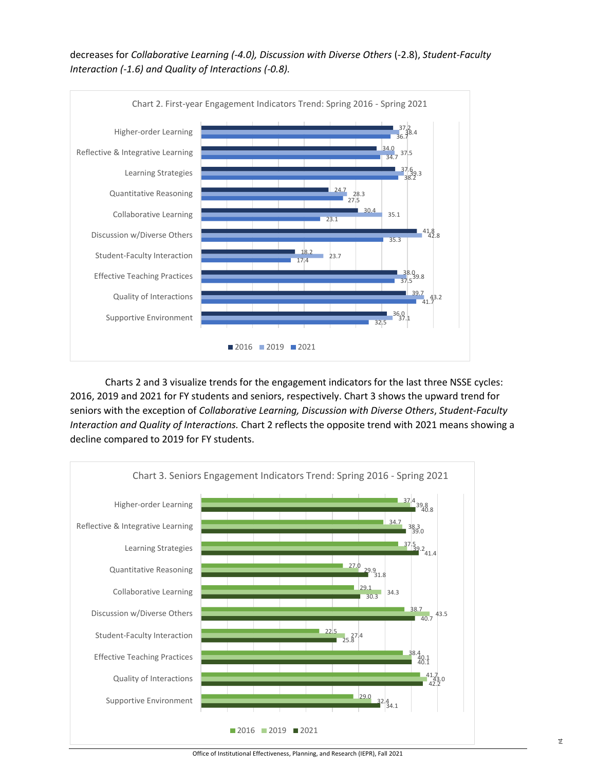decreases for *Collaborative Learning (-4.0), Discussion with Diverse Others* (-2.8), *Student-Faculty Interaction (-1.6) and Quality of Interactions (-0.8).*



Charts 2 and 3 visualize trends for the engagement indicators for the last three NSSE cycles: 2016, 2019 and 2021 for FY students and seniors, respectively. Chart 3 shows the upward trend for seniors with the exception of *Collaborative Learning, Discussion with Diverse Others*, *Student-Faculty Interaction and Quality of Interactions.* Chart 2 reflects the opposite trend with 2021 means showing a decline compared to 2019 for FY students.



Office of Institutional Effectiveness, Planning, and Research (IEPR), Fall 2021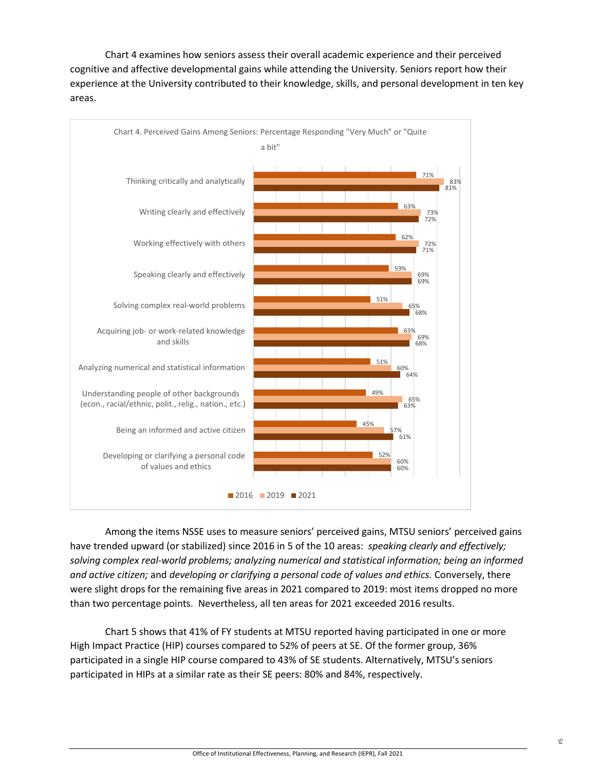Chart 4 examines how seniors assess their overall academic experience and their perceived cognitive and affective developmental gains while attending the University. Seniors report how their experience at the University contributed to their knowledge, skills, and personal development in ten key areas.



Among the items NSSE uses to measure seniors' perceived gains, MTSU seniors' perceived gains have trended upward (or stabilized) since 2016 in 5 of the 10 areas: *speaking clearly and effectively; solving complex real-world problems; analyzing numerical and statistical information; being an informed and active citizen;* and *developing or clarifying a personal code of values and ethics.* Conversely, there were slight drops for the remaining five areas in 2021 compared to 2019: most items dropped no more than two percentage points. Nevertheless, all ten areas for 2021 exceeded 2016 results.

Chart 5 shows that 41% of FY students at MTSU reported having participated in one or more High Impact Practice (HIP) courses compared to 52% of peers at SE. Of the former group, 36% participated in a single HIP course compared to 43% of SE students. Alternatively, MTSU's seniors participated in HIPs at a similar rate as their SE peers: 80% and 84%, respectively.